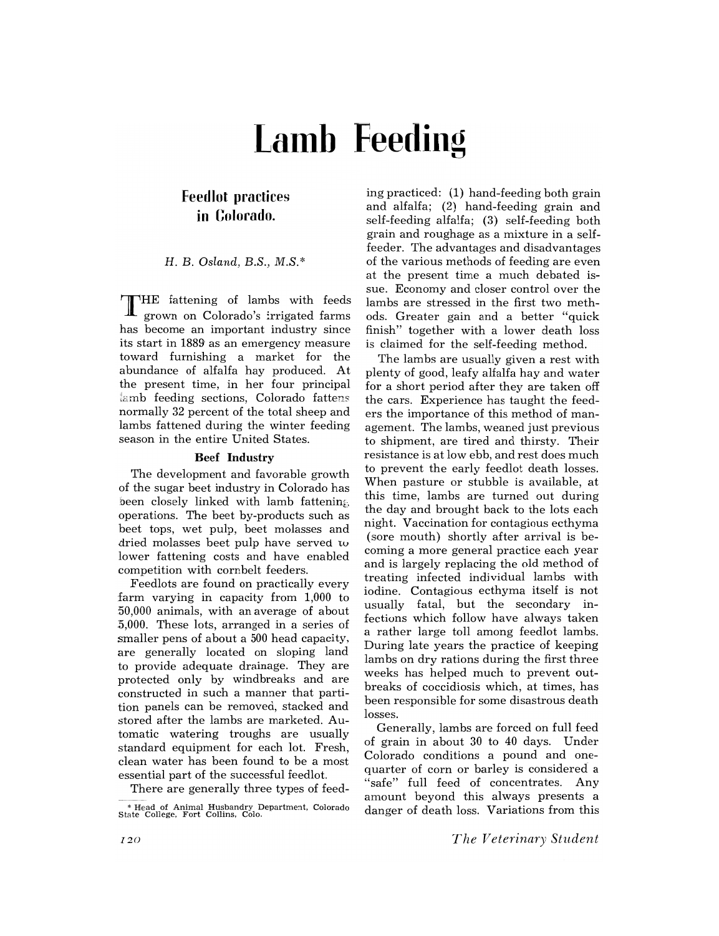# **Lamb Feeding**

## **Feedlot practices in Colorado.**

### H. B. *Osland, B.S., M.S.\**

THE fattening of lambs with feeds grown on Colorado's irrigated farms has become an important industry since its start in 1889' as an emergency measure toward furnishing a market for the abundance of alfalfa hay produced. At the present time, in her four principal  $\lambda$ amb feeding sections, Colorado fattens normally 32 percent of the total sheep and lambs fattened during the winter feeding season in the entire United States.

#### **Beef Industry**

The development and favorable growth of the sugar beet industry in Colorado has been closely linked with lamb fattening operations. The beet by-products such as beet tops, wet pulp, beet molasses and dried molasses beet pulp have served tv lower fattening costs and have enabled competition with cornbelt feeders.

Feedlots are found on practically every farm varying in capacity from 1,000 to '50,000 animals, with an average of about :5,000. These lots, arranged in a series of smaller pens of about a 500 head capacity, are generally located on sloping land to provide adequate drainage. They are protected only by windbreaks and are constructed in such a manner that partition panels can be removed, stacked and stored after the lambs are marketed. Automatic watering troughs are usually standard equipment for each lot. Fresh, clean water has been found to be a most essential part of the successful feedlot.

There are generally three types of feed-

ing practiced: (1) hand-feeding both grain and alfalfa; (2) hand-feeding grain and self-feeding alfalfa; (3) self-feeding both grain and roughage as a mixture in a selffeeder. The advantages and disadvantages of the various methods of feeding are even at the present time a much debated issue. Economy and closer control over the lambs are stressed in the first two methods. Greater gain and a better "quick finish" together with a lower death loss is claimed for the self-feeding method.

The lambs are usually given a rest with plenty of good, leafy alfalfa hay and water for a short period after they are taken off the cars. Experience has taught the feeders the importance of this method of management. The lambs, weaned just previous to shipment, are tired and thirsty. Their resistance is at low ebb, and rest does much to prevent the early feedlot death losses. When pasture or stubble is available, at this time, lambs are turned out during the day and brought back to the lots each night. Vaccination for contagious ecthyma (sore mouth) shortly after arrival is becoming a more general practice each year and is largely replacing the old method of treating infected individual lambs with iodine. Contagious ecthyma itself is not usually fatal, but the secondary infections which follow have always taken a rather large toll among feedlot lambs. During late years the practice of keeping lambs on dry rations during the first three weeks has helped much to prevent outbreaks of coccidiosis which, at times, has been responsible for some disastrous death losses.

Generally, lambs are forced on full feed of grain in about 30 to 40 days. Under Colorado conditions a pound and onequarter of corn or barley is considered a "safe" full feed of concentrates. Any amount beyond this always presents a danger of death loss. Variations from this

*The Veterinary Student* 

<sup>&</sup>quot; Head of Animal Husbandry Department. Colorado S tate College. Fort Collins. Colo.